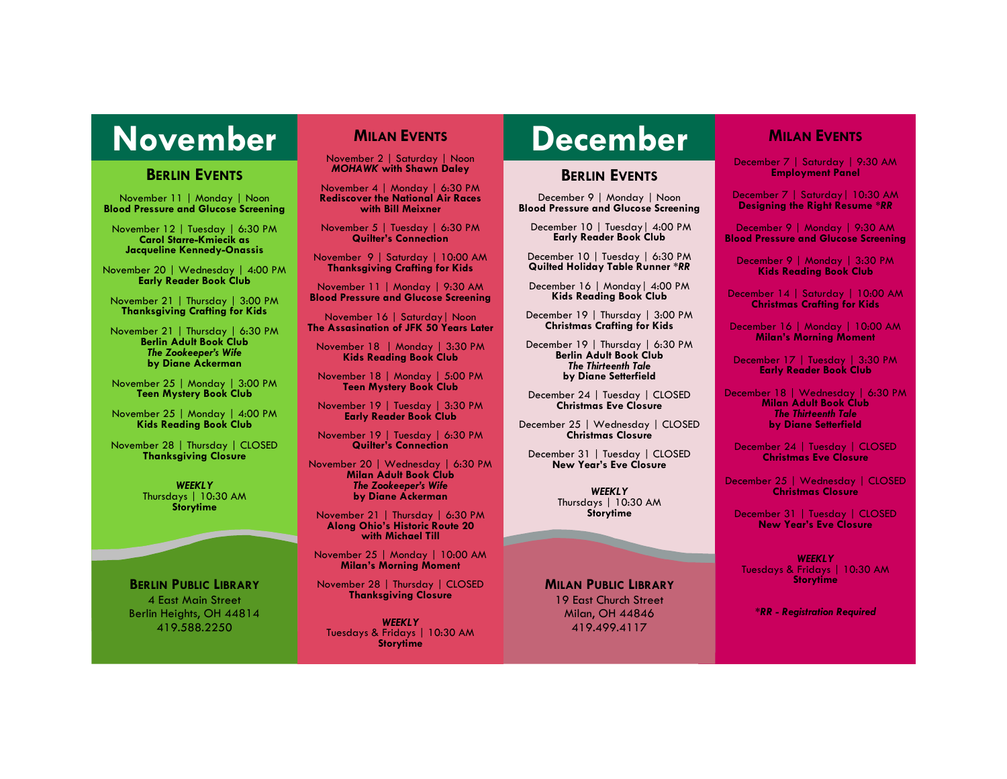# **November MILAN EVENTS December**

### **BERLIN EVENTS**

November 11 | Monday | Noon **Blood Pressure and Glucose Screening**

November 12 | Tuesday | 6:30 PM **Carol Starre-Kmiecik as Jacqueline Kennedy-Onassis**

November 20 | Wednesday | 4:00 PM **Early Reader Book Club**

November 21 | Thursday | 3:00 PM **Thanksgiving Crafting for Kids**

November 21 | Thursday | 6:30 PM **Berlin Adult Book Club** *The Zookeeper's Wife* **by Diane Ackerman**

November 25 | Monday | 3:00 PM **Teen Mystery Book Club**

November 25 | Monday | 4:00 PM **Kids Reading Book Club**

November 28 | Thursday | CLOSED **Thanksgiving Closure**

> *WEEKLY* Thursdays | 10:30 AM **Storytime**

**BERLIN PUBLIC LIBRARY** 4 East Main Street Berlin Heights, OH 44814 419.588.2250

## **MILAN EVENTS**

November 2 | Saturday | Noon *MOHAWK* **with Shawn Daley**

November 4 | Monday | 6:30 PM **Rediscover the National Air Races with Bill Meixner**

November 5 | Tuesday | 6:30 PM **Quilter's Connection**

November 9 | Saturday | 10:00 AM **Thanksgiving Crafting for Kids**

November 11 | Monday | 9:30 AM **Blood Pressure and Glucose Screening**

November 16 | Saturday| Noon **The Assasination of JFK 50 Years Later**

November 18 | Monday | 3:30 PM **Kids Reading Book Club**

November 18 | Monday | 5:00 PM **Teen Mystery Book Club**

November 19 | Tuesday | 3:30 PM **Early Reader Book Club**

November 19 | Tuesday | 6:30 PM **Quilter's Connection**

November 20 | Wednesday | 6:30 PM **Milan Adult Book Club** *The Zookeeper's Wife*  **by Diane Ackerman**

November 21 | Thursday | 6:30 PM **Along Ohio's Historic Route 20 with Michael Till**

November 25 | Monday | 10:00 AM **Milan's Morning Moment**

November 28 | Thursday | CLOSED **Thanksgiving Closure**

*WEEKLY* Tuesdays & Fridays | 10:30 AM **Storytime**

### **BERLIN EVENTS**

December 9 | Monday | Noon **Blood Pressure and Glucose Screening**

December 10 | Tuesday| 4:00 PM **Early Reader Book Club**

December 10 | Tuesday | 6:30 PM **Quilted Holiday Table Runner** *\*RR*

December 16 | Monday| 4:00 PM **Kids Reading Book Club**

December 19 | Thursday | 3:00 PM **Christmas Crafting for Kids**

December 19 | Thursday | 6:30 PM **Berlin Adult Book Club** *The Thirteenth Tale* **by Diane Setterfield**

December 24 | Tuesday | CLOSED **Christmas Eve Closure**

December 25 | Wednesday | CLOSED **Christmas Closure**

December 31 | Tuesday | CLOSED **New Year's Eve Closure**

> *WEEKLY* Thursdays | 10:30 AM **Storytime**

**MILAN PUBLIC LIBRARY** 19 East Church Street Milan, OH 44846 419.499.4117

### **MILAN EVENTS**

December 7 | Saturday | 9:30 AM **Employment Panel**

December 7 | Saturday| 10:30 AM **Designing the Right Resume** *\*RR*

December 9 | Monday | 9:30 AM **Blood Pressure and Glucose Screening**

December 9 | Monday | 3:30 PM **Kids Reading Book Club**

December 14 | Saturday | 10:00 AM **Christmas Crafting for Kids**

December 16 | Monday | 10:00 AM **Milan's Morning Moment**

December 17 | Tuesday | 3:30 PM **Early Reader Book Club**

December 18 | Wednesday | 6:30 PM **Milan Adult Book Club** *The Thirteenth Tale* **by Diane Setterfield**

December 24 | Tuesday | CLOSED **Christmas Eve Closure**

December 25 | Wednesday | CLOSED **Christmas Closure**

December 31 | Tuesday | CLOSED **New Year's Eve Closure**

*WEEKLY* Tuesdays & Fridays | 10:30 AM **Storytime**

*\*RR - Registration Required*